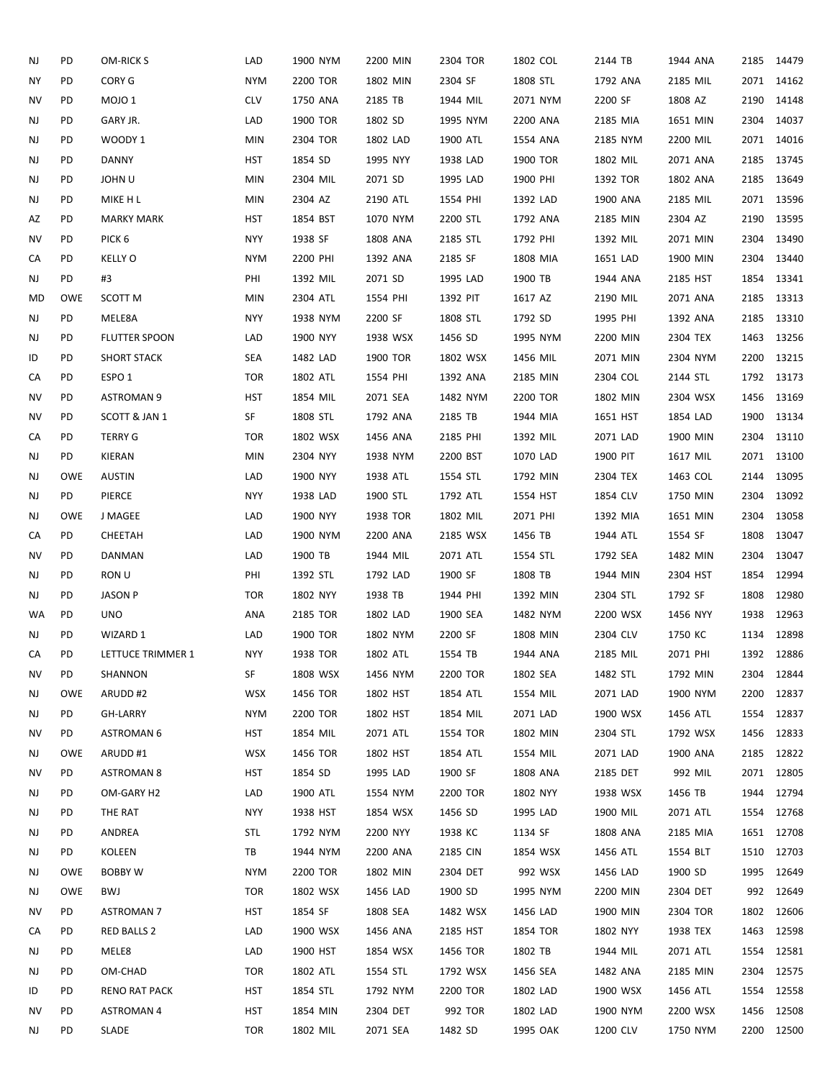| NJ | PD         | OM-RICK S            | LAD        | 1900 NYM | 2200 MIN | 2304 TOR | 1802 COL | 2144 TB  | 1944 ANA |      | 2185 14479 |
|----|------------|----------------------|------------|----------|----------|----------|----------|----------|----------|------|------------|
| ΝY | PD         | CORY G               | <b>NYM</b> | 2200 TOR | 1802 MIN | 2304 SF  | 1808 STL | 1792 ANA | 2185 MIL |      | 2071 14162 |
| NV | PD         | MOJO <sub>1</sub>    | <b>CLV</b> | 1750 ANA | 2185 TB  | 1944 MIL | 2071 NYM | 2200 SF  | 1808 AZ  |      | 2190 14148 |
| NJ | PD         | GARY JR.             | LAD        | 1900 TOR | 1802 SD  | 1995 NYM | 2200 ANA | 2185 MIA | 1651 MIN |      | 2304 14037 |
| NJ | PD         | WOODY 1              | <b>MIN</b> | 2304 TOR | 1802 LAD | 1900 ATL | 1554 ANA | 2185 NYM | 2200 MIL |      | 2071 14016 |
| NJ | PD         | <b>DANNY</b>         | <b>HST</b> | 1854 SD  | 1995 NYY | 1938 LAD | 1900 TOR | 1802 MIL | 2071 ANA |      | 2185 13745 |
| NJ | PD         | <b>JOHNU</b>         | <b>MIN</b> | 2304 MIL | 2071 SD  | 1995 LAD | 1900 PHI | 1392 TOR | 1802 ANA | 2185 | 13649      |
| NJ | PD         | MIKE H L             | <b>MIN</b> | 2304 AZ  | 2190 ATL | 1554 PHI | 1392 LAD | 1900 ANA | 2185 MIL |      | 2071 13596 |
| AZ | PD         | <b>MARKY MARK</b>    | HST        | 1854 BST | 1070 NYM | 2200 STL | 1792 ANA | 2185 MIN | 2304 AZ  | 2190 | 13595      |
| ΝV | PD         | PICK <sub>6</sub>    | <b>NYY</b> | 1938 SF  | 1808 ANA | 2185 STL | 1792 PHI | 1392 MIL | 2071 MIN | 2304 | 13490      |
| СA | PD         | <b>KELLY O</b>       | <b>NYM</b> | 2200 PHI | 1392 ANA | 2185 SF  | 1808 MIA | 1651 LAD | 1900 MIN |      | 2304 13440 |
| NJ | PD         | #3                   | PHI        | 1392 MIL | 2071 SD  | 1995 LAD | 1900 TB  | 1944 ANA | 2185 HST | 1854 | 13341      |
| MD | <b>OWE</b> | SCOTT M              | <b>MIN</b> | 2304 ATL | 1554 PHI | 1392 PIT | 1617 AZ  | 2190 MIL | 2071 ANA |      | 2185 13313 |
| NJ | PD         | MELE8A               | <b>NYY</b> | 1938 NYM | 2200 SF  | 1808 STL | 1792 SD  | 1995 PHI | 1392 ANA | 2185 | 13310      |
| NJ | PD         | FLUTTER SPOON        | LAD        | 1900 NYY | 1938 WSX | 1456 SD  | 1995 NYM | 2200 MIN | 2304 TEX |      | 1463 13256 |
| ID | PD         | <b>SHORT STACK</b>   | <b>SEA</b> | 1482 LAD | 1900 TOR | 1802 WSX | 1456 MIL | 2071 MIN | 2304 NYM | 2200 | 13215      |
| CA | PD         | ESPO <sub>1</sub>    | <b>TOR</b> | 1802 ATL | 1554 PHI | 1392 ANA | 2185 MIN | 2304 COL | 2144 STL |      | 1792 13173 |
| ΝV | PD         | <b>ASTROMAN 9</b>    | HST        | 1854 MIL | 2071 SEA | 1482 NYM | 2200 TOR | 1802 MIN | 2304 WSX |      | 1456 13169 |
| NV | PD         | SCOTT & JAN 1        | SF         | 1808 STL | 1792 ANA | 2185 TB  | 1944 MIA | 1651 HST | 1854 LAD | 1900 | 13134      |
| CA | PD         | <b>TERRY G</b>       | <b>TOR</b> | 1802 WSX | 1456 ANA | 2185 PHI | 1392 MIL | 2071 LAD | 1900 MIN |      | 2304 13110 |
| NJ | PD         | KIERAN               | <b>MIN</b> | 2304 NYY | 1938 NYM | 2200 BST | 1070 LAD | 1900 PIT | 1617 MIL | 2071 | 13100      |
| NJ | <b>OWE</b> | <b>AUSTIN</b>        | LAD        | 1900 NYY | 1938 ATL | 1554 STL | 1792 MIN | 2304 TEX | 1463 COL | 2144 | 13095      |
| NJ | PD         | PIERCE               | <b>NYY</b> | 1938 LAD | 1900 STL | 1792 ATL | 1554 HST | 1854 CLV | 1750 MIN | 2304 | 13092      |
| NJ | <b>OWE</b> | J MAGEE              | LAD        | 1900 NYY | 1938 TOR | 1802 MIL | 2071 PHI | 1392 MIA | 1651 MIN | 2304 | 13058      |
| CA | PD         | CHEETAH              | LAD        | 1900 NYM | 2200 ANA | 2185 WSX | 1456 TB  | 1944 ATL | 1554 SF  | 1808 | 13047      |
| NV | PD         | DANMAN               | LAD        | 1900 TB  | 1944 MIL | 2071 ATL | 1554 STL | 1792 SEA | 1482 MIN | 2304 | 13047      |
| NJ | PD         | <b>RON U</b>         | PHI        | 1392 STL | 1792 LAD | 1900 SF  | 1808 TB  | 1944 MIN | 2304 HST | 1854 | 12994      |
| NJ | PD         | <b>JASON P</b>       | <b>TOR</b> | 1802 NYY | 1938 TB  | 1944 PHI | 1392 MIN | 2304 STL | 1792 SF  | 1808 | 12980      |
| WA | PD         | <b>UNO</b>           | ANA        | 2185 TOR | 1802 LAD | 1900 SEA | 1482 NYM | 2200 WSX | 1456 NYY | 1938 | 12963      |
| NJ | PD         | WIZARD 1             | LAD        | 1900 TOR | 1802 NYM | 2200 SF  | 1808 MIN | 2304 CLV | 1750 KC  |      | 1134 12898 |
| СA | PD         | LETTUCE TRIMMER 1    | <b>NYY</b> | 1938 TOR | 1802 ATL | 1554 TB  | 1944 ANA | 2185 MIL | 2071 PHI |      | 1392 12886 |
| NV | PD         | SHANNON              | SF         | 1808 WSX | 1456 NYM | 2200 TOR | 1802 SEA | 1482 STL | 1792 MIN |      | 2304 12844 |
| NJ | OWE        | ARUDD#2              | <b>WSX</b> | 1456 TOR | 1802 HST | 1854 ATL | 1554 MIL | 2071 LAD | 1900 NYM | 2200 | 12837      |
| NJ | PD         | GH-LARRY             | <b>NYM</b> | 2200 TOR | 1802 HST | 1854 MIL | 2071 LAD | 1900 WSX | 1456 ATL |      | 1554 12837 |
| NV | PD         | <b>ASTROMAN 6</b>    | HST        | 1854 MIL | 2071 ATL | 1554 TOR | 1802 MIN | 2304 STL | 1792 WSX | 1456 | 12833      |
| NJ | OWE        | ARUDD#1              | <b>WSX</b> | 1456 TOR | 1802 HST | 1854 ATL | 1554 MIL | 2071 LAD | 1900 ANA | 2185 | 12822      |
| ΝV | PD         | <b>ASTROMAN 8</b>    | HST        | 1854 SD  | 1995 LAD | 1900 SF  | 1808 ANA | 2185 DET | 992 MIL  |      | 2071 12805 |
| NJ | PD         | OM-GARY H2           | LAD        | 1900 ATL | 1554 NYM | 2200 TOR | 1802 NYY | 1938 WSX | 1456 TB  | 1944 | 12794      |
| NJ | PD         | THE RAT              | NYY        | 1938 HST | 1854 WSX | 1456 SD  | 1995 LAD | 1900 MIL | 2071 ATL |      | 1554 12768 |
| NJ | PD         | ANDREA               | STL        | 1792 NYM | 2200 NYY | 1938 KC  | 1134 SF  | 1808 ANA | 2185 MIA | 1651 | 12708      |
| NJ | PD         | KOLEEN               | TB         | 1944 NYM | 2200 ANA | 2185 CIN | 1854 WSX | 1456 ATL | 1554 BLT | 1510 | 12703      |
| NJ | OWE        | <b>BOBBY W</b>       | <b>NYM</b> | 2200 TOR | 1802 MIN | 2304 DET | 992 WSX  | 1456 LAD | 1900 SD  | 1995 | 12649      |
| NJ | OWE        | BWJ                  | <b>TOR</b> | 1802 WSX | 1456 LAD | 1900 SD  | 1995 NYM | 2200 MIN | 2304 DET |      | 992 12649  |
| ΝV | PD         | <b>ASTROMAN 7</b>    | HST        | 1854 SF  | 1808 SEA | 1482 WSX | 1456 LAD | 1900 MIN | 2304 TOR |      | 1802 12606 |
| CA | PD         | <b>RED BALLS 2</b>   | LAD        | 1900 WSX | 1456 ANA | 2185 HST | 1854 TOR | 1802 NYY | 1938 TEX | 1463 | 12598      |
| NJ | PD         | MELE8                | LAD        | 1900 HST | 1854 WSX | 1456 TOR | 1802 TB  | 1944 MIL | 2071 ATL |      | 1554 12581 |
| NJ | PD         | OM-CHAD              | <b>TOR</b> | 1802 ATL | 1554 STL | 1792 WSX | 1456 SEA | 1482 ANA | 2185 MIN | 2304 | 12575      |
| ID | PD         | <b>RENO RAT PACK</b> | HST        | 1854 STL | 1792 NYM | 2200 TOR | 1802 LAD | 1900 WSX | 1456 ATL | 1554 | 12558      |
| NV | PD         | <b>ASTROMAN 4</b>    | HST        | 1854 MIN | 2304 DET | 992 TOR  | 1802 LAD | 1900 NYM | 2200 WSX | 1456 | 12508      |
| NJ | PD         | SLADE                | <b>TOR</b> | 1802 MIL | 2071 SEA | 1482 SD  | 1995 OAK | 1200 CLV | 1750 NYM |      | 2200 12500 |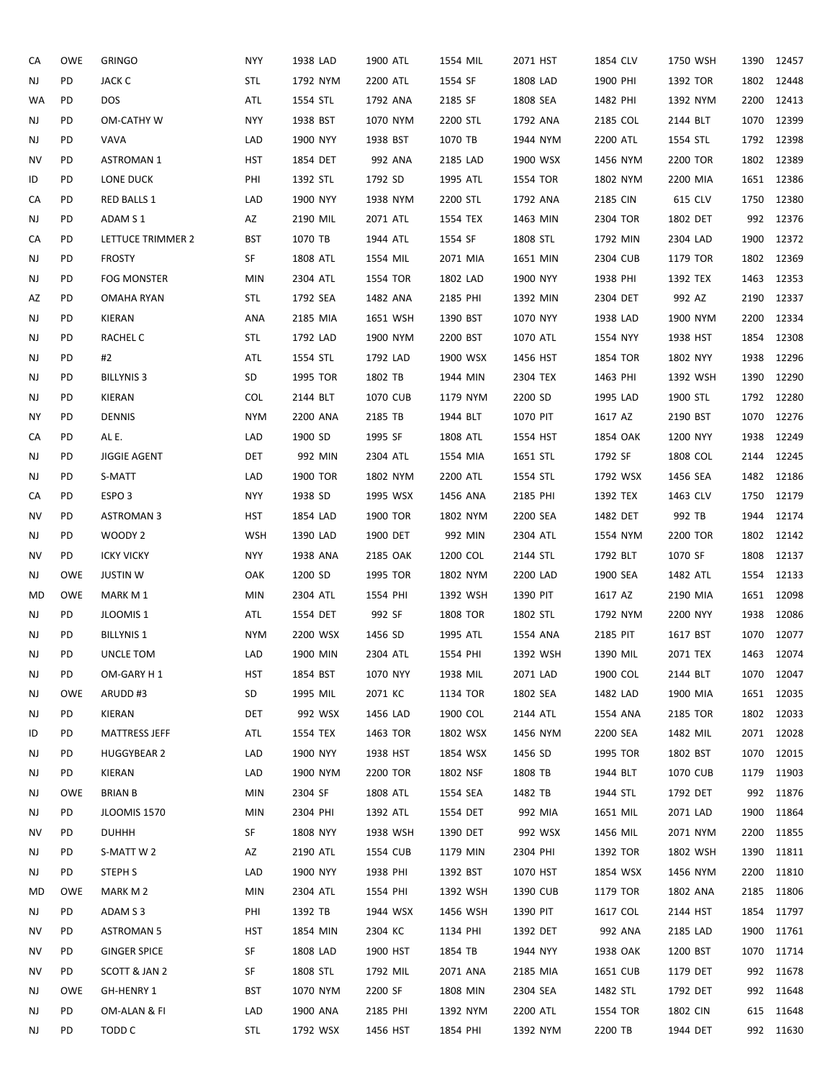| CA        | OWE        | <b>GRINGO</b>        | <b>NYY</b> | 1938 LAD | 1900 ATL | 1554 MIL | 2071 HST | 1854 CLV | 1750 WSH | 1390 | 12457      |
|-----------|------------|----------------------|------------|----------|----------|----------|----------|----------|----------|------|------------|
| NJ        | PD         | <b>JACK C</b>        | <b>STL</b> | 1792 NYM | 2200 ATL | 1554 SF  | 1808 LAD | 1900 PHI | 1392 TOR | 1802 | 12448      |
| <b>WA</b> | PD         | <b>DOS</b>           | ATL        | 1554 STL | 1792 ANA | 2185 SF  | 1808 SEA | 1482 PHI | 1392 NYM | 2200 | 12413      |
| NJ        | PD         | <b>OM-CATHY W</b>    | <b>NYY</b> | 1938 BST | 1070 NYM | 2200 STL | 1792 ANA | 2185 COL | 2144 BLT |      | 1070 12399 |
| NJ        | PD         | VAVA                 | LAD        | 1900 NYY | 1938 BST | 1070 TB  | 1944 NYM | 2200 ATL | 1554 STL |      | 1792 12398 |
| <b>NV</b> | PD         | <b>ASTROMAN 1</b>    | <b>HST</b> | 1854 DET | 992 ANA  | 2185 LAD | 1900 WSX | 1456 NYM | 2200 TOR |      | 1802 12389 |
| ID        | PD         | LONE DUCK            | PHI        | 1392 STL | 1792 SD  | 1995 ATL | 1554 TOR | 1802 NYM | 2200 MIA |      | 1651 12386 |
| CA        | PD         | RED BALLS 1          | LAD        | 1900 NYY | 1938 NYM | 2200 STL | 1792 ANA | 2185 CIN | 615 CLV  |      | 1750 12380 |
| NJ        | PD         | ADAM S 1             | AZ         | 2190 MIL | 2071 ATL | 1554 TEX | 1463 MIN | 2304 TOR | 1802 DET |      | 992 12376  |
| CA        | PD         | LETTUCE TRIMMER 2    | <b>BST</b> | 1070 TB  | 1944 ATL | 1554 SF  | 1808 STL | 1792 MIN | 2304 LAD | 1900 | 12372      |
| NJ        | PD         | <b>FROSTY</b>        | SF         | 1808 ATL | 1554 MIL | 2071 MIA | 1651 MIN | 2304 CUB | 1179 TOR |      | 1802 12369 |
| NJ        | PD         | <b>FOG MONSTER</b>   | <b>MIN</b> | 2304 ATL | 1554 TOR | 1802 LAD | 1900 NYY | 1938 PHI | 1392 TEX | 1463 | 12353      |
| AZ        | PD         | OMAHA RYAN           | <b>STL</b> | 1792 SEA | 1482 ANA | 2185 PHI | 1392 MIN | 2304 DET | 992 AZ   |      | 2190 12337 |
| NJ        | PD         | KIERAN               | ANA        | 2185 MIA | 1651 WSH | 1390 BST | 1070 NYY | 1938 LAD | 1900 NYM | 2200 | 12334      |
| NJ        | PD         | RACHEL C             | <b>STL</b> | 1792 LAD | 1900 NYM | 2200 BST | 1070 ATL | 1554 NYY | 1938 HST | 1854 | 12308      |
| NJ        | PD         | #2                   | ATL        | 1554 STL | 1792 LAD | 1900 WSX | 1456 HST | 1854 TOR | 1802 NYY | 1938 | 12296      |
| NJ        | PD         | <b>BILLYNIS 3</b>    | SD         | 1995 TOR | 1802 TB  | 1944 MIN | 2304 TEX | 1463 PHI | 1392 WSH | 1390 | 12290      |
| NJ        | PD         | KIERAN               | <b>COL</b> | 2144 BLT | 1070 CUB | 1179 NYM | 2200 SD  | 1995 LAD | 1900 STL |      | 1792 12280 |
| <b>NY</b> | PD         | <b>DENNIS</b>        | <b>NYM</b> | 2200 ANA | 2185 TB  | 1944 BLT | 1070 PIT | 1617 AZ  | 2190 BST |      | 1070 12276 |
| CA        | PD         | AL E.                | LAD        | 1900 SD  | 1995 SF  | 1808 ATL | 1554 HST | 1854 OAK | 1200 NYY |      | 1938 12249 |
| NJ        | PD         | <b>JIGGIE AGENT</b>  | <b>DET</b> | 992 MIN  | 2304 ATL | 1554 MIA | 1651 STL | 1792 SF  | 1808 COL |      | 2144 12245 |
| NJ        | PD         | S-MATT               | LAD        | 1900 TOR | 1802 NYM | 2200 ATL | 1554 STL | 1792 WSX | 1456 SEA |      | 1482 12186 |
| CA        | PD         | ESPO <sub>3</sub>    | <b>NYY</b> | 1938 SD  | 1995 WSX | 1456 ANA | 2185 PHI | 1392 TEX | 1463 CLV |      | 1750 12179 |
| NV        | PD         | <b>ASTROMAN 3</b>    | HST        | 1854 LAD | 1900 TOR | 1802 NYM | 2200 SEA | 1482 DET | 992 TB   | 1944 | 12174      |
| NJ        | PD         | WOODY 2              | <b>WSH</b> | 1390 LAD | 1900 DET | 992 MIN  | 2304 ATL | 1554 NYM | 2200 TOR |      | 1802 12142 |
| NV        | PD         | <b>ICKY VICKY</b>    | <b>NYY</b> | 1938 ANA | 2185 OAK | 1200 COL | 2144 STL | 1792 BLT | 1070 SF  | 1808 | 12137      |
| NJ        | OWE        | <b>JUSTIN W</b>      | OAK        | 1200 SD  | 1995 TOR | 1802 NYM | 2200 LAD | 1900 SEA | 1482 ATL |      | 1554 12133 |
| MD        | <b>OWE</b> | MARK M 1             | <b>MIN</b> | 2304 ATL | 1554 PHI | 1392 WSH | 1390 PIT | 1617 AZ  | 2190 MIA |      | 1651 12098 |
| NJ        | PD         | JLOOMIS 1            | ATL        | 1554 DET | 992 SF   | 1808 TOR | 1802 STL | 1792 NYM | 2200 NYY | 1938 | 12086      |
| NJ        | PD         | <b>BILLYNIS 1</b>    | <b>NYM</b> | 2200 WSX | 1456 SD  | 1995 ATL | 1554 ANA | 2185 PIT | 1617 BST |      | 1070 12077 |
| NJ        | PD         | UNCLE TOM            | LAD        | 1900 MIN | 2304 ATL | 1554 PHI | 1392 WSH | 1390 MIL | 2071 TEX |      | 1463 12074 |
| NJ        | PD         | OM-GARY H 1          | HST        | 1854 BST | 1070 NYY | 1938 MIL | 2071 LAD | 1900 COL | 2144 BLT |      | 1070 12047 |
| NJ        | OWE        | ARUDD#3              | SD         | 1995 MIL | 2071 KC  | 1134 TOR | 1802 SEA | 1482 LAD | 1900 MIA |      | 1651 12035 |
| NJ        | PD         | KIERAN               | DET        | 992 WSX  | 1456 LAD | 1900 COL | 2144 ATL | 1554 ANA | 2185 TOR |      | 1802 12033 |
| ID        | PD         | <b>MATTRESS JEFF</b> | ATL        | 1554 TEX | 1463 TOR | 1802 WSX | 1456 NYM | 2200 SEA | 1482 MIL |      | 2071 12028 |
| NJ        | PD.        | <b>HUGGYBEAR 2</b>   | LAD        | 1900 NYY | 1938 HST | 1854 WSX | 1456 SD  | 1995 TOR | 1802 BST | 1070 | 12015      |
| NJ        | PD.        | KIERAN               | LAD        | 1900 NYM | 2200 TOR | 1802 NSF | 1808 TB  | 1944 BLT | 1070 CUB |      | 1179 11903 |
| NJ        | OWE        | <b>BRIAN B</b>       | MIN        | 2304 SF  | 1808 ATL | 1554 SEA | 1482 TB  | 1944 STL | 1792 DET |      | 992 11876  |
| NJ        | PD.        | JLOOMIS 1570         | <b>MIN</b> | 2304 PHI | 1392 ATL | 1554 DET | 992 MIA  | 1651 MIL | 2071 LAD | 1900 | 11864      |
| NV        | PD         | <b>DUHHH</b>         | SF         | 1808 NYY | 1938 WSH | 1390 DET | 992 WSX  | 1456 MIL | 2071 NYM | 2200 | 11855      |
| NJ        | PD         | S-MATT W 2           | AZ         | 2190 ATL | 1554 CUB | 1179 MIN | 2304 PHI | 1392 TOR | 1802 WSH | 1390 | 11811      |
| NJ        | PD.        | STEPH S              | LAD        | 1900 NYY | 1938 PHI | 1392 BST | 1070 HST | 1854 WSX | 1456 NYM | 2200 | 11810      |
| MD        | <b>OWE</b> | MARK M 2             | <b>MIN</b> | 2304 ATL | 1554 PHI | 1392 WSH | 1390 CUB | 1179 TOR | 1802 ANA | 2185 | 11806      |
| NJ        | PD         | ADAM S 3             | PHI        | 1392 TB  | 1944 WSX | 1456 WSH | 1390 PIT | 1617 COL | 2144 HST |      | 1854 11797 |
| ΝV        | PD         | <b>ASTROMAN 5</b>    | HST        | 1854 MIN | 2304 KC  | 1134 PHI | 1392 DET | 992 ANA  | 2185 LAD | 1900 | 11761      |
| ΝV        | PD         | <b>GINGER SPICE</b>  | SF         | 1808 LAD | 1900 HST | 1854 TB  | 1944 NYY | 1938 OAK | 1200 BST |      | 1070 11714 |
| ΝV        | PD         | SCOTT & JAN 2        | SF         | 1808 STL | 1792 MIL | 2071 ANA | 2185 MIA | 1651 CUB | 1179 DET |      | 992 11678  |
| NJ        | <b>OWE</b> | GH-HENRY 1           | <b>BST</b> | 1070 NYM | 2200 SF  | 1808 MIN | 2304 SEA | 1482 STL | 1792 DET |      | 992 11648  |
| NJ        | PD         | OM-ALAN & FI         | LAD        | 1900 ANA | 2185 PHI | 1392 NYM | 2200 ATL | 1554 TOR | 1802 CIN |      | 615 11648  |
| NJ        | PD         | TODD C               | <b>STL</b> | 1792 WSX | 1456 HST | 1854 PHI | 1392 NYM | 2200 TB  | 1944 DET |      | 992 11630  |
|           |            |                      |            |          |          |          |          |          |          |      |            |